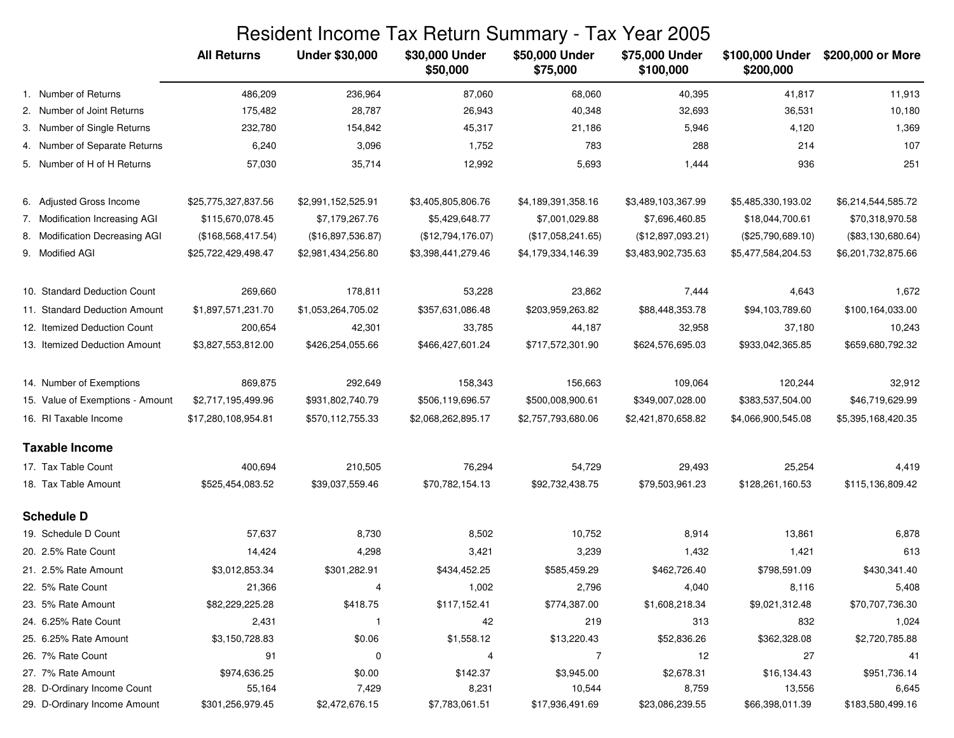|                                  |                     |                       | Resident Income Tax Return Summary - Tax Year 2005 |                            |                             |                              |                    |
|----------------------------------|---------------------|-----------------------|----------------------------------------------------|----------------------------|-----------------------------|------------------------------|--------------------|
|                                  | <b>All Returns</b>  | <b>Under \$30,000</b> | \$30,000 Under<br>\$50,000                         | \$50,000 Under<br>\$75,000 | \$75,000 Under<br>\$100,000 | \$100,000 Under<br>\$200,000 | \$200,000 or More  |
| 1. Number of Returns             | 486,209             | 236,964               | 87,060                                             | 68,060                     | 40,395                      | 41,817                       | 11,913             |
| 2. Number of Joint Returns       | 175,482             | 28,787                | 26,943                                             | 40,348                     | 32,693                      | 36,531                       | 10,180             |
| 3. Number of Single Returns      | 232,780             | 154,842               | 45,317                                             | 21,186                     | 5,946                       | 4,120                        | 1,369              |
| 4. Number of Separate Returns    | 6,240               | 3,096                 | 1,752                                              | 783                        | 288                         | 214                          | 107                |
| 5. Number of H of H Returns      | 57,030              | 35,714                | 12,992                                             | 5,693                      | 1,444                       | 936                          | 251                |
| 6. Adjusted Gross Income         | \$25,775,327,837.56 | \$2,991,152,525.91    | \$3,405,805,806.76                                 | \$4,189,391,358.16         | \$3,489,103,367.99          | \$5,485,330,193.02           | \$6,214,544,585.72 |
| 7. Modification Increasing AGI   | \$115,670,078.45    | \$7,179,267.76        | \$5,429,648.77                                     | \$7,001,029.88             | \$7,696,460.85              | \$18,044,700.61              | \$70,318,970.58    |
| 8. Modification Decreasing AGI   | (\$168,568,417.54)  | (\$16,897,536.87)     | (\$12,794,176.07)                                  | (\$17,058,241.65)          | (\$12,897,093.21)           | (\$25,790,689.10)            | (\$83,130,680.64)  |
| 9. Modified AGI                  | \$25,722,429,498.47 | \$2,981,434,256.80    | \$3,398,441,279.46                                 | \$4,179,334,146.39         | \$3,483,902,735.63          | \$5,477,584,204.53           | \$6,201,732,875.66 |
| 10. Standard Deduction Count     | 269,660             | 178,811               | 53,228                                             | 23,862                     | 7,444                       | 4,643                        | 1,672              |
| 11. Standard Deduction Amount    | \$1,897,571,231.70  | \$1,053,264,705.02    | \$357,631,086.48                                   | \$203,959,263.82           | \$88,448,353.78             | \$94,103,789.60              | \$100,164,033.00   |
| 12. Itemized Deduction Count     | 200,654             | 42,301                | 33,785                                             | 44,187                     | 32,958                      | 37,180                       | 10,243             |
| 13. Itemized Deduction Amount    | \$3,827,553,812.00  | \$426,254,055.66      | \$466,427,601.24                                   | \$717,572,301.90           | \$624,576,695.03            | \$933,042,365.85             | \$659,680,792.32   |
| 14. Number of Exemptions         | 869,875             | 292,649               | 158,343                                            | 156,663                    | 109,064                     | 120,244                      | 32,912             |
| 15. Value of Exemptions - Amount | \$2,717,195,499.96  | \$931,802,740.79      | \$506,119,696.57                                   | \$500,008,900.61           | \$349,007,028.00            | \$383,537,504.00             | \$46,719,629.99    |
| 16. RI Taxable Income            | \$17,280,108,954.81 | \$570,112,755.33      | \$2,068,262,895.17                                 | \$2,757,793,680.06         | \$2,421,870,658.82          | \$4,066,900,545.08           | \$5,395,168,420.35 |
| <b>Taxable Income</b>            |                     |                       |                                                    |                            |                             |                              |                    |
| 17. Tax Table Count              | 400,694             | 210,505               | 76,294                                             | 54,729                     | 29,493                      | 25,254                       | 4,419              |
| 18. Tax Table Amount             | \$525,454,083.52    | \$39,037,559.46       | \$70,782,154.13                                    | \$92,732,438.75            | \$79,503,961.23             | \$128,261,160.53             | \$115,136,809.42   |
| <b>Schedule D</b>                |                     |                       |                                                    |                            |                             |                              |                    |
| 19. Schedule D Count             | 57,637              | 8,730                 | 8,502                                              | 10,752                     | 8,914                       | 13,861                       | 6,878              |
| 20. 2.5% Rate Count              | 14,424              | 4,298                 | 3,421                                              | 3,239                      | 1,432                       | 1,421                        | 613                |
| 21. 2.5% Rate Amount             | \$3,012,853.34      | \$301,282.91          | \$434,452.25                                       | \$585,459.29               | \$462,726.40                | \$798,591.09                 | \$430,341.40       |
| 22. 5% Rate Count                | 21,366              | 4                     | 1,002                                              | 2,796                      | 4,040                       | 8,116                        | 5,408              |
| 23. 5% Rate Amount               | \$82,229,225.28     | \$418.75              | \$117,152.41                                       | \$774,387.00               | \$1,608,218.34              | \$9,021,312.48               | \$70,707,736.30    |
| 24. 6.25% Rate Count             | 2,431               | -1                    | 42                                                 | 219                        | 313                         | 832                          | 1,024              |
| 25. 6.25% Rate Amount            | \$3,150,728.83      | \$0.06                | \$1,558.12                                         | \$13,220.43                | \$52,836.26                 | \$362,328.08                 | \$2,720,785.88     |
| 26. 7% Rate Count                | 91                  | 0                     | 4                                                  | $\overline{7}$             | 12                          | 27                           | 41                 |
| 27. 7% Rate Amount               | \$974,636.25        | \$0.00                | \$142.37                                           | \$3,945.00                 | \$2,678.31                  | \$16,134.43                  | \$951,736.14       |
| 28. D-Ordinary Income Count      | 55,164              | 7,429                 | 8,231                                              | 10,544                     | 8,759                       | 13,556                       | 6,645              |
| 29. D-Ordinary Income Amount     | \$301,256,979.45    | \$2,472,676.15        | \$7,783,061.51                                     | \$17,936,491.69            | \$23,086,239.55             | \$66,398,011.39              | \$183,580,499.16   |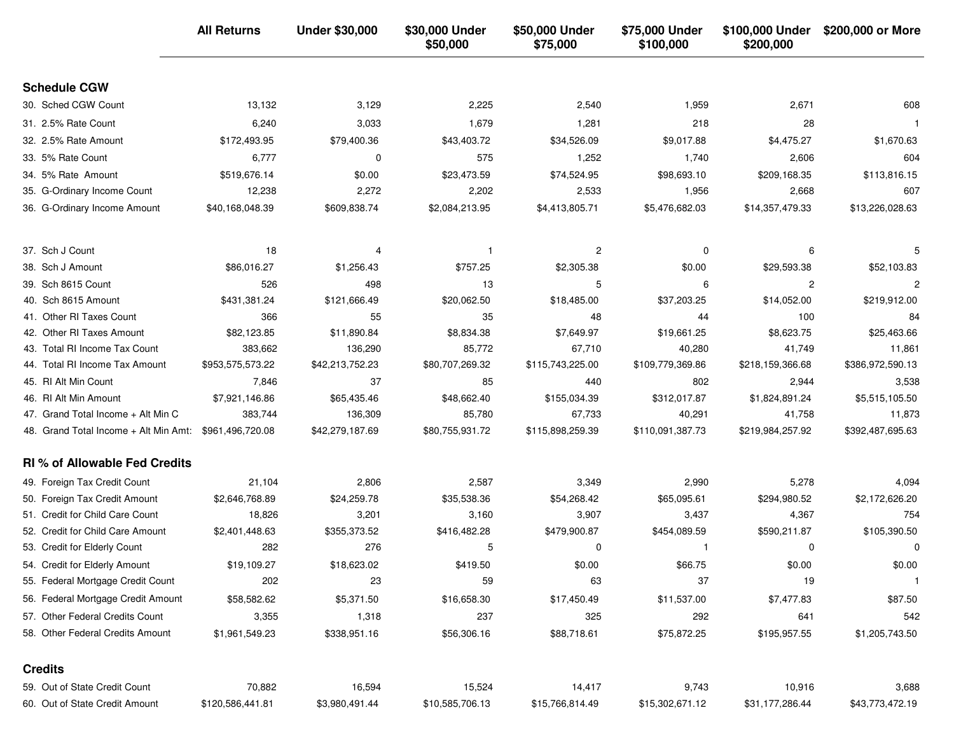|                                       | <b>All Returns</b> | <b>Under \$30,000</b> | \$30,000 Under<br>\$50,000 | \$50,000 Under<br>\$75,000 | \$75,000 Under<br>\$100,000 | \$100,000 Under<br>\$200,000 | \$200,000 or More |
|---------------------------------------|--------------------|-----------------------|----------------------------|----------------------------|-----------------------------|------------------------------|-------------------|
| <b>Schedule CGW</b>                   |                    |                       |                            |                            |                             |                              |                   |
| 30. Sched CGW Count                   | 13,132             | 3,129                 | 2,225                      | 2,540                      | 1,959                       | 2,671                        | 608               |
| 31. 2.5% Rate Count                   | 6,240              | 3,033                 | 1,679                      | 1,281                      | 218                         | 28                           | -1                |
| 32. 2.5% Rate Amount                  | \$172,493.95       | \$79,400.36           | \$43,403.72                | \$34,526.09                | \$9,017.88                  | \$4,475.27                   | \$1,670.63        |
| 33. 5% Rate Count                     | 6,777              | 0                     | 575                        | 1,252                      | 1,740                       | 2,606                        | 604               |
| 34. 5% Rate Amount                    | \$519,676.14       | \$0.00                | \$23,473.59                | \$74,524.95                | \$98,693.10                 | \$209,168.35                 | \$113,816.15      |
| 35. G-Ordinary Income Count           | 12,238             | 2,272                 | 2,202                      | 2,533                      | 1,956                       | 2,668                        | 607               |
| 36. G-Ordinary Income Amount          | \$40,168,048.39    | \$609,838.74          | \$2,084,213.95             | \$4,413,805.71             | \$5,476,682.03              | \$14,357,479.33              | \$13,226,028.63   |
| 37. Sch J Count                       | 18                 |                       |                            | 2                          | $\Omega$                    | 6                            |                   |
| 38. Sch J Amount                      | \$86,016.27        | \$1,256.43            | \$757.25                   | \$2,305.38                 | \$0.00                      | \$29,593.38                  | \$52,103.83       |
| 39. Sch 8615 Count                    | 526                | 498                   | 13                         | 5                          | 6                           | 2                            | $\overline{c}$    |
| 40. Sch 8615 Amount                   | \$431,381.24       | \$121,666.49          | \$20,062.50                | \$18,485.00                | \$37,203.25                 | \$14,052.00                  | \$219,912.00      |
| 41. Other RI Taxes Count              | 366                | 55                    | 35                         | 48                         | 44                          | 100                          | 84                |
| 42. Other RI Taxes Amount             | \$82,123.85        | \$11,890.84           | \$8,834.38                 | \$7,649.97                 | \$19,661.25                 | \$8,623.75                   | \$25,463.66       |
| 43. Total RI Income Tax Count         | 383,662            | 136,290               | 85,772                     | 67,710                     | 40,280                      | 41,749                       | 11,861            |
| 44. Total RI Income Tax Amount        | \$953,575,573.22   | \$42,213,752.23       | \$80,707,269.32            | \$115,743,225.00           | \$109,779,369.86            | \$218,159,366.68             | \$386,972,590.13  |
| 45. RI Alt Min Count                  | 7,846              | 37                    | 85                         | 440                        | 802                         | 2,944                        | 3,538             |
| 46. RI Alt Min Amount                 | \$7,921,146.86     | \$65,435.46           | \$48,662.40                | \$155,034.39               | \$312,017.87                | \$1,824,891.24               | \$5,515,105.50    |
| 47. Grand Total Income + Alt Min C    | 383,744            | 136,309               | 85,780                     | 67,733                     | 40,291                      | 41,758                       | 11,873            |
| 48. Grand Total Income + Alt Min Amt: | \$961,496,720.08   | \$42,279,187.69       | \$80,755,931.72            | \$115,898,259.39           | \$110,091,387.73            | \$219,984,257.92             | \$392,487,695.63  |
| <b>RI % of Allowable Fed Credits</b>  |                    |                       |                            |                            |                             |                              |                   |
| 49. Foreign Tax Credit Count          | 21,104             | 2,806                 | 2,587                      | 3,349                      | 2,990                       | 5,278                        | 4,094             |
| 50. Foreign Tax Credit Amount         | \$2,646,768.89     | \$24,259.78           | \$35,538.36                | \$54,268.42                | \$65,095.61                 | \$294,980.52                 | \$2,172,626.20    |
| 51. Credit for Child Care Count       | 18,826             | 3,201                 | 3,160                      | 3,907                      | 3,437                       | 4,367                        | 754               |
| 52. Credit for Child Care Amount      | \$2,401,448.63     | \$355,373.52          | \$416,482.28               | \$479,900.87               | \$454,089.59                | \$590,211.87                 | \$105,390.50      |
| 53. Credit for Elderly Count          | 282                | 276                   | 5                          | 0                          | $\mathbf{1}$                | 0                            | 0                 |
| 54. Credit for Elderly Amount         | \$19,109.27        | \$18,623.02           | \$419.50                   | \$0.00                     | \$66.75                     | \$0.00                       | \$0.00            |
| 55. Federal Mortgage Credit Count     | 202                | 23                    | 59                         | 63                         | 37                          | 19                           | $\overline{1}$    |
| 56. Federal Mortgage Credit Amount    | \$58,582.62        | \$5,371.50            | \$16,658.30                | \$17,450.49                | \$11,537.00                 | \$7,477.83                   | \$87.50           |
| 57. Other Federal Credits Count       | 3,355              | 1,318                 | 237                        | 325                        | 292                         | 641                          | 542               |
| 58. Other Federal Credits Amount      | \$1,961,549.23     | \$338,951.16          | \$56,306.16                | \$88,718.61                | \$75,872.25                 | \$195,957.55                 | \$1,205,743.50    |
| <b>Credits</b>                        |                    |                       |                            |                            |                             |                              |                   |
| 59. Out of State Credit Count         | 70,882             | 16,594                | 15,524                     | 14,417                     | 9,743                       | 10,916                       | 3,688             |
| 60. Out of State Credit Amount        | \$120,586,441.81   | \$3,980,491.44        | \$10,585,706.13            | \$15,766,814.49            | \$15,302,671.12             | \$31,177,286.44              | \$43,773,472.19   |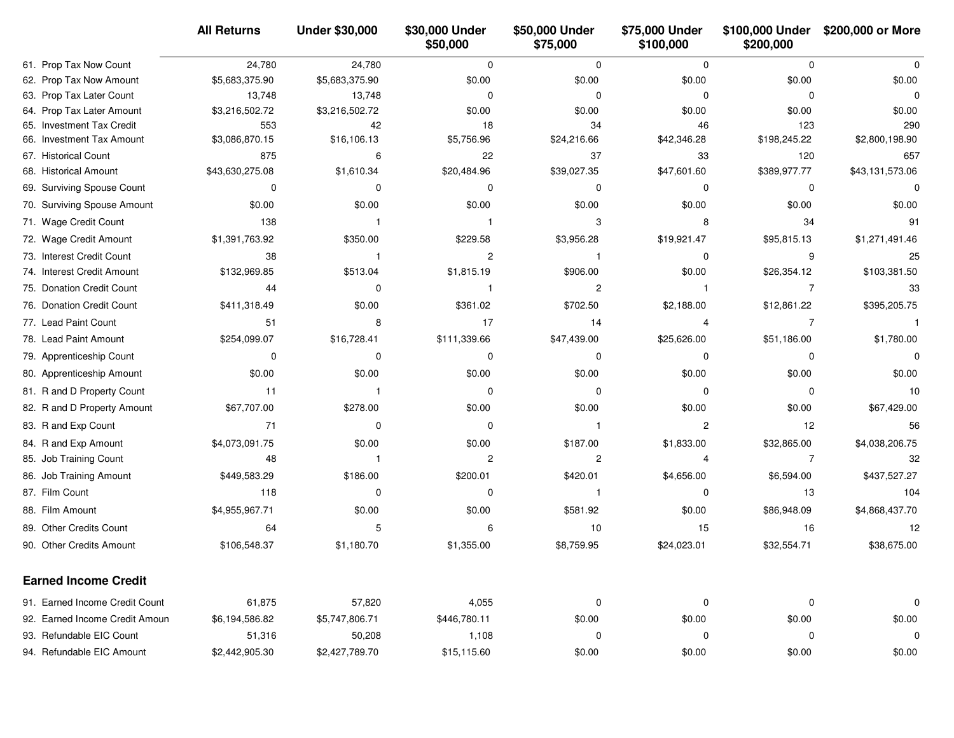|                                | <b>All Returns</b> | <b>Under \$30,000</b> | \$30,000 Under<br>\$50,000 | \$50,000 Under<br>\$75,000 | \$75,000 Under<br>\$100,000 | \$100,000 Under<br>\$200,000 | \$200,000 or More |
|--------------------------------|--------------------|-----------------------|----------------------------|----------------------------|-----------------------------|------------------------------|-------------------|
| 61. Prop Tax Now Count         | 24,780             | 24,780                | $\mathbf 0$                | $\mathbf 0$                | $\mathbf 0$                 | $\Omega$                     | $\Omega$          |
| 62. Prop Tax Now Amount        | \$5,683,375.90     | \$5,683,375.90        | \$0.00                     | \$0.00                     | \$0.00                      | \$0.00                       | \$0.00            |
| 63. Prop Tax Later Count       | 13,748             | 13,748                | 0                          | $\mathbf 0$                | 0                           | 0                            | 0                 |
| 64. Prop Tax Later Amount      | \$3,216,502.72     | \$3,216,502.72        | \$0.00                     | \$0.00                     | \$0.00                      | \$0.00                       | \$0.00            |
| 65. Investment Tax Credit      | 553                | 42                    | 18                         | 34                         | 46                          | 123                          | 290               |
| 66. Investment Tax Amount      | \$3,086,870.15     | \$16,106.13           | \$5,756.96                 | \$24,216.66                | \$42,346.28                 | \$198,245.22                 | \$2,800,198.90    |
| 67. Historical Count           | 875                | 6                     | 22                         | 37                         | 33                          | 120                          | 657               |
| 68. Historical Amount          | \$43,630,275.08    | \$1,610.34            | \$20,484.96                | \$39,027.35                | \$47,601.60                 | \$389,977.77                 | \$43,131,573.06   |
| 69. Surviving Spouse Count     | 0                  | 0                     | $\mathbf 0$                | 0                          | 0                           | 0                            | 0                 |
| 70. Surviving Spouse Amount    | \$0.00             | \$0.00                | \$0.00                     | \$0.00                     | \$0.00                      | \$0.00                       | \$0.00            |
| 71. Wage Credit Count          | 138                | -1                    | -1                         | 3                          | 8                           | 34                           | 91                |
| 72. Wage Credit Amount         | \$1,391,763.92     | \$350.00              | \$229.58                   | \$3,956.28                 | \$19,921.47                 | \$95,815.13                  | \$1,271,491.46    |
| 73. Interest Credit Count      | 38                 | $\mathbf{1}$          | $\overline{c}$             | -1                         | $\mathbf 0$                 | 9                            | 25                |
| 74. Interest Credit Amount     | \$132,969.85       | \$513.04              | \$1,815.19                 | \$906.00                   | \$0.00                      | \$26,354.12                  | \$103,381.50      |
| 75. Donation Credit Count      | 44                 | 0                     | $\mathbf{1}$               | 2                          | $\mathbf 1$                 | $\overline{7}$               | 33                |
| 76. Donation Credit Count      | \$411,318.49       | \$0.00                | \$361.02                   | \$702.50                   | \$2,188.00                  | \$12,861.22                  | \$395,205.75      |
| 77. Lead Paint Count           | 51                 | 8                     | 17                         | 14                         | $\overline{4}$              | $\overline{7}$               | -1                |
| 78. Lead Paint Amount          | \$254,099.07       | \$16,728.41           | \$111,339.66               | \$47,439.00                | \$25,626.00                 | \$51,186.00                  | \$1,780.00        |
| 79. Apprenticeship Count       | 0                  | 0                     | $\mathbf 0$                | 0                          | 0                           | 0                            | 0                 |
| 80. Apprenticeship Amount      | \$0.00             | \$0.00                | \$0.00                     | \$0.00                     | \$0.00                      | \$0.00                       | \$0.00            |
| 81. R and D Property Count     | 11                 | $\mathbf{1}$          | 0                          | 0                          | 0                           | $\Omega$                     | 10                |
| 82. R and D Property Amount    | \$67,707.00        | \$278.00              | \$0.00                     | \$0.00                     | \$0.00                      | \$0.00                       | \$67,429.00       |
| 83. R and Exp Count            | 71                 | 0                     | 0                          | $\mathbf 1$                | $\overline{2}$              | 12                           | 56                |
| 84. R and Exp Amount           | \$4,073,091.75     | \$0.00                | \$0.00                     | \$187.00                   | \$1,833.00                  | \$32,865.00                  | \$4,038,206.75    |
| 85. Job Training Count         | 48                 | $\mathbf{1}$          | $\overline{c}$             | 2                          | 4                           | $\overline{7}$               | 32                |
| 86. Job Training Amount        | \$449,583.29       | \$186.00              | \$200.01                   | \$420.01                   | \$4,656.00                  | \$6,594.00                   | \$437,527.27      |
| 87. Film Count                 | 118                | $\mathbf 0$           | $\mathbf 0$                | -1                         | 0                           | 13                           | 104               |
| 88. Film Amount                | \$4,955,967.71     | \$0.00                | \$0.00                     | \$581.92                   | \$0.00                      | \$86,948.09                  | \$4,868,437.70    |
| 89. Other Credits Count        | 64                 | 5                     | 6                          | 10                         | 15                          | 16                           | 12                |
| 90. Other Credits Amount       | \$106,548.37       | \$1,180.70            | \$1,355.00                 | \$8,759.95                 | \$24,023.01                 | \$32,554.71                  | \$38,675.00       |
| <b>Earned Income Credit</b>    |                    |                       |                            |                            |                             |                              |                   |
| 91. Earned Income Credit Count | 61,875             | 57,820                | 4,055                      | 0                          | $\boldsymbol{0}$            | 0                            | 0                 |
| 92. Earned Income Credit Amoun | \$6,194,586.82     | \$5,747,806.71        | \$446,780.11               | \$0.00                     | \$0.00                      | \$0.00                       | \$0.00            |
| 93. Refundable EIC Count       | 51,316             | 50,208                | 1,108                      | 0                          | 0                           | 0                            | 0                 |
| 94. Refundable EIC Amount      | \$2,442,905.30     | \$2,427,789.70        | \$15,115.60                | \$0.00                     | \$0.00                      | \$0.00                       | \$0.00            |